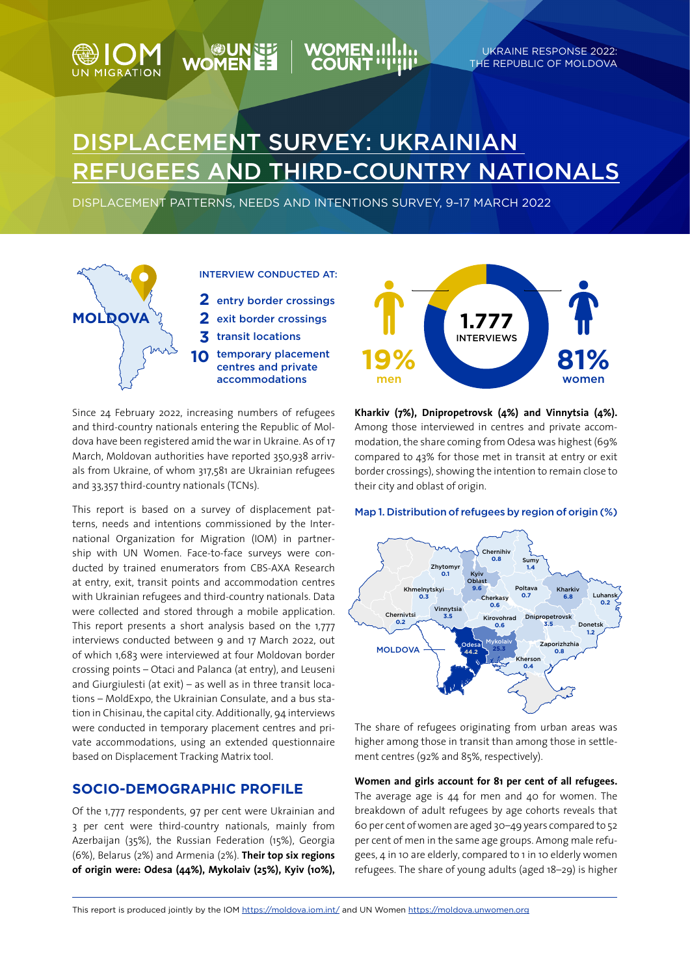# DISPLACEMENT SURVEY: UKRAiNIAN REFUGEES AND THIRD-COUNTRY NATIONALS

Displacement patterns, needs and intentions survey, 9–17 March 2022



**NOW SEARCH**<br>EE ADOW

**IGRATION** 

Since 24 February 2022, increasing numbers of refugees and third-country nationals entering the Republic of Moldova have been registered amid the war in Ukraine. As of 17 March, Moldovan authorities have reported 350,938 arrivals from Ukraine, of whom 317,581 are Ukrainian refugees and 33,357 third-country nationals (TCNs).

This report is based on a survey of displacement patterns, needs and intentions commissioned by the International Organization for Migration (IOM) in partnership with UN Women. Face-to-face surveys were conducted by trained enumerators from CBS-AXA Research at entry, exit, transit points and accommodation centres with Ukrainian refugees and third-country nationals. Data were collected and stored through a mobile application. This report presents a short analysis based on the 1,777 interviews conducted between 9 and 17 March 2022, out of which 1,683 were interviewed at four Moldovan border crossing points – Otaci and Palanca (at entry), and Leuseni and Giurgiulesti (at exit) – as well as in three transit locations – MoldExpo, the Ukrainian Consulate, and a bus station in Chisinau, the capital city. Additionally, 94 interviews were conducted in temporary placement centres and private accommodations, using an extended questionnaire based on Displacement Tracking Matrix tool.

# **Socio-demographic profile**

Of the 1,777 respondents, 97 per cent were Ukrainian and 3 per cent were third-country nationals, mainly from Azerbaijan (35%), the Russian Federation (15%), Georgia (6%), Belarus (2%) and Armenia (2%). **Their top six regions of origin were: Odesa (44%), Mykolaiv (25%), Kyiv (10%),** 



UKRAINE RESPONSE 2022: THE REPUBLIC OF MOLDOVA

**Kharkiv (7%), Dnipropetrovsk (4%) and Vinnytsia (4%).** Among those interviewed in centres and private accommodation, the share coming from Odesa was highest (69% compared to 43% for those met in transit at entry or exit border crossings), showing the intention to remain close to their city and oblast of origin.

## Map 1. Distribution of refugees by region of origin (%)



The share of refugees originating from urban areas was higher among those in transit than among those in settlement centres (92% and 85%, respectively).

**Women and girls account for 81 per cent of all refugees.** 

The average age is 44 for men and 40 for women. The breakdown of adult refugees by age cohorts reveals that 60 per cent of women are aged 30–49 years compared to 52 per cent of men in the same age groups. Among male refugees, 4 in 10 are elderly, compared to 1 in 10 elderly women refugees. The share of young adults (aged 18–29) is higher

This report is produced jointly by the IOM https://moldova.iom.int/ and UN Women https://moldova.unwomen.org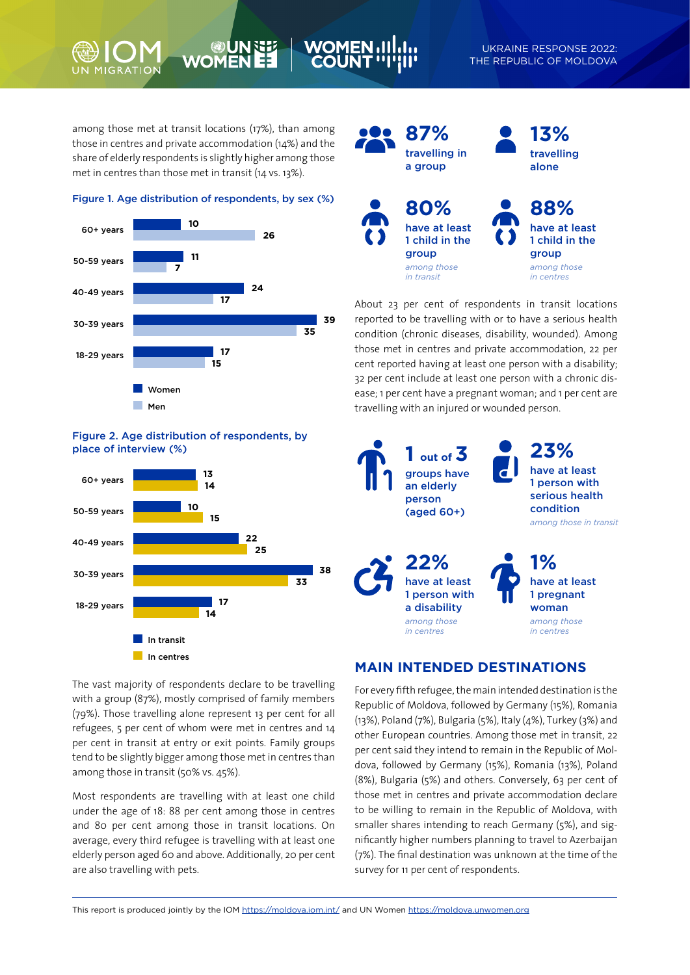UKRAINE RESPONSE 2022: THE REPUBLIC OF MOLDOVA

among those met at transit locations (17%), than among those in centres and private accommodation (14%) and the share of elderly respondents is slightly higher among those met in centres than those met in transit (14 vs. 13%).

**WOM** 

## Figure 1. Age distribution of respondents, by sex (%)



## Figure 2. Age distribution of respondents, by place of interview (%)



**87%** travelling in a group **80%** have at least 1 child in the group *among those in transit* **13%** travelling alone **88%** have at least 1 child in the group *among those in centres*

About 23 per cent of respondents in transit locations reported to be travelling with or to have a serious health condition (chronic diseases, disability, wounded). Among those met in centres and private accommodation, 22 per cent reported having at least one person with a disability; 32 per cent include at least one person with a chronic disease; 1 per cent have a pregnant woman; and 1 per cent are travelling with an injured or wounded person.



The vast majority of respondents declare to be travelling with a group (87%), mostly comprised of family members (79%). Those travelling alone represent 13 per cent for all refugees, 5 per cent of whom were met in centres and 14 per cent in transit at entry or exit points. Family groups tend to be slightly bigger among those met in centres than among those in transit (50% vs. 45%).

Most respondents are travelling with at least one child under the age of 18: 88 per cent among those in centres and 80 per cent among those in transit locations. On average, every third refugee is travelling with at least one elderly person aged 60 and above. Additionally, 20 per cent are also travelling with pets.

# **Main intended destinations**

For every fifth refugee, the main intended destination is the Republic of Moldova, followed by Germany (15%), Romania (13%), Poland (7%), Bulgaria (5%), Italy (4%), Turkey (3%) and other European countries. Among those met in transit, 22 per cent said they intend to remain in the Republic of Moldova, followed by Germany (15%), Romania (13%), Poland (8%), Bulgaria (5%) and others. Conversely, 63 per cent of those met in centres and private accommodation declare to be willing to remain in the Republic of Moldova, with smaller shares intending to reach Germany (5%), and significantly higher numbers planning to travel to Azerbaijan (7%). The final destination was unknown at the time of the survey for 11 per cent of respondents.

This report is produced jointly by the IOM https://moldova.iom.int/ and UN Women https://moldova.unwomen.org